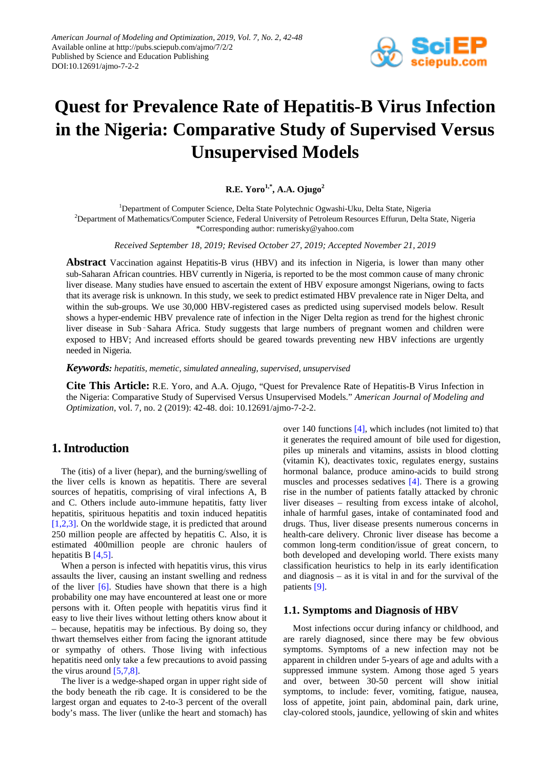

# **Quest for Prevalence Rate of Hepatitis-B Virus Infection in the Nigeria: Comparative Study of Supervised Versus Unsupervised Models**

**R.E. Yoro1,\*, A.A. Ojugo2**

<sup>1</sup>Department of Computer Science, Delta State Polytechnic Ogwashi-Uku, Delta State, Nigeria <sup>2</sup>Department of Mathematics/Computer Science, Federal University of Petroleum Resources Effurun, Delta State, Nigeria

\*Corresponding author: rumerisky@yahoo.com

*Received September 18, 2019; Revised October 27, 2019; Accepted November 21, 2019*

**Abstract** Vaccination against Hepatitis-B virus (HBV) and its infection in Nigeria, is lower than many other sub-Saharan African countries. HBV currently in Nigeria, is reported to be the most common cause of many chronic liver disease. Many studies have ensued to ascertain the extent of HBV exposure amongst Nigerians, owing to facts that its average risk is unknown. In this study, we seek to predict estimated HBV prevalence rate in Niger Delta, and within the sub-groups. We use 30,000 HBV-registered cases as predicted using supervised models below. Result shows a hyper-endemic HBV prevalence rate of infection in the Niger Delta region as trend for the highest chronic liver disease in Sub-Sahara Africa. Study suggests that large numbers of pregnant women and children were exposed to HBV; And increased efforts should be geared towards preventing new HBV infections are urgently needed in Nigeria.

*Keywords: hepatitis, memetic, simulated annealing, supervised, unsupervised*

**Cite This Article:** R.E. Yoro, and A.A. Ojugo, "Quest for Prevalence Rate of Hepatitis-B Virus Infection in the Nigeria: Comparative Study of Supervised Versus Unsupervised Models." *American Journal of Modeling and Optimization*, vol. 7, no. 2 (2019): 42-48. doi: 10.12691/ajmo-7-2-2.

# **1. Introduction**

The (itis) of a liver (hepar), and the burning/swelling of the liver cells is known as hepatitis. There are several sources of hepatitis, comprising of viral infections A, B and C. Others include auto-immune hepatitis, fatty liver hepatitis, spirituous hepatitis and toxin induced hepatitis [\[1,2,3\].](#page-6-0) On the worldwide stage, it is predicted that around 250 million people are affected by hepatitis C. Also, it is estimated 400million people are chronic haulers of hepatitis B [\[4,5\].](#page-6-1)

When a person is infected with hepatitis virus, this virus assaults the liver, causing an instant swelling and redness of the liver [\[6\].](#page-6-2) Studies have shown that there is a high probability one may have encountered at least one or more persons with it. Often people with hepatitis virus find it easy to live their lives without letting others know about it – because, hepatitis may be infectious. By doing so, they thwart themselves either from facing the ignorant attitude or sympathy of others. Those living with infectious hepatitis need only take a few precautions to avoid passing the virus around  $[5,7,8]$ .

The liver is a wedge-shaped organ in upper right side of the body beneath the rib cage. It is considered to be the largest organ and equates to 2-to-3 percent of the overall body's mass. The liver (unlike the heart and stomach) has

over 140 functions [\[4\],](#page-6-1) which includes (not limited to) that it generates the required amount of bile used for digestion, piles up minerals and vitamins, assists in blood clotting (vitamin K), deactivates toxic, regulates energy, sustains hormonal balance, produce amino-acids to build strong muscles and processes sedatives [\[4\].](#page-6-1) There is a growing rise in the number of patients fatally attacked by chronic liver diseases – resulting from excess intake of alcohol, inhale of harmful gases, intake of contaminated food and drugs. Thus, liver disease presents numerous concerns in health-care delivery. Chronic liver disease has become a common long-term condition/issue of great concern, to both developed and developing world. There exists many classification heuristics to help in its early identification and diagnosis – as it is vital in and for the survival of the patients [\[9\].](#page-6-4)

#### **1.1. Symptoms and Diagnosis of HBV**

Most infections occur during infancy or childhood, and are rarely diagnosed, since there may be few obvious symptoms. Symptoms of a new infection may not be apparent in children under 5-years of age and adults with a suppressed immune system. Among those aged 5 years and over, between 30-50 percent will show initial symptoms, to include: fever, vomiting, fatigue, nausea, loss of appetite, joint pain, abdominal pain, dark urine, clay-colored stools, jaundice, yellowing of skin and whites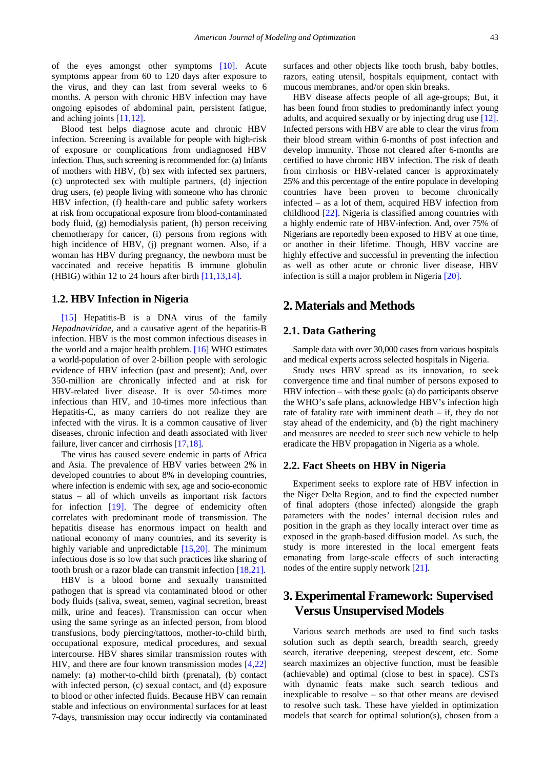of the eyes amongst other symptoms [\[10\].](#page-6-5) Acute symptoms appear from 60 to 120 days after exposure to the virus, and they can last from several weeks to 6 months. A person with chronic HBV infection may have ongoing episodes of abdominal pain, persistent fatigue, and aching joints [\[11,12\].](#page-6-6)

Blood test helps diagnose acute and chronic HBV infection. Screening is available for people with high-risk of exposure or complications from undiagnosed HBV infection. Thus, such screening is recommended for: (a) Infants of mothers with HBV, (b) sex with infected sex partners, (c) unprotected sex with multiple partners, (d) injection drug users, (e) people living with someone who has chronic HBV infection, (f) health-care and public safety workers at risk from occupational exposure from blood-contaminated body fluid, (g) hemodialysis patient, (h) person receiving chemotherapy for cancer, (i) persons from regions with high incidence of HBV, (j) pregnant women. Also, if a woman has HBV during pregnancy, the newborn must be vaccinated and receive hepatitis B immune globulin (HBIG) within 12 to 24 hours after birth [\[11,13,14\].](#page-6-6)

#### **1.2. HBV Infection in Nigeria**

[\[15\]](#page-6-7) Hepatitis-B is a DNA virus of the family *Hepadnaviridae,* and a causative agent of the hepatitis-B infection. HBV is the most common infectious diseases in the world and a major health problem. [\[16\]](#page-6-8) WHO estimates a world-population of over 2-billion people with serologic evidence of HBV infection (past and present); And, over 350-million are chronically infected and at risk for HBV-related liver disease. It is over 50-times more infectious than HIV, and 10-times more infectious than Hepatitis-C, as many carriers do not realize they are infected with the virus. It is a common causative of liver diseases, chronic infection and death associated with liver failure, liver cancer and cirrhosis [\[17,18\].](#page-6-9)

The virus has caused severe endemic in parts of Africa and Asia. The prevalence of HBV varies between 2% in developed countries to about 8% in developing countries, where infection is endemic with sex, age and socio-economic status – all of which unveils as important risk factors for infection [\[19\].](#page-6-10) The degree of endemicity often correlates with predominant mode of transmission. The hepatitis disease has enormous impact on health and national economy of many countries, and its severity is highly variable and unpredictable [\[15,20\].](#page-6-7) The minimum infectious dose is so low that such practices like sharing of tooth brush or a razor blade can transmit infection [\[18,21\].](#page-6-11)

HBV is a blood borne and sexually transmitted pathogen that is spread via contaminated blood or other body fluids (saliva, sweat, semen, vaginal secretion, breast milk, urine and feaces). Transmission can occur when using the same syringe as an infected person, from blood transfusions, body piercing/tattoos, mother-to-child birth, occupational exposure, medical procedures, and sexual intercourse. HBV shares similar transmission routes with HIV, and there are four known transmission modes [\[4,22\]](#page-6-1) namely: (a) mother-to-child birth (prenatal), (b) contact with infected person, (c) sexual contact, and (d) exposure to blood or other infected fluids. Because HBV can remain stable and infectious on environmental surfaces for at least 7-days, transmission may occur indirectly via contaminated

surfaces and other objects like tooth brush, baby bottles, razors, eating utensil, hospitals equipment, contact with mucous membranes, and/or open skin breaks.

HBV disease affects people of all age-groups; But, it has been found from studies to predominantly infect young adults, and acquired sexually or by injecting drug use [\[12\].](#page-6-12) Infected persons with HBV are able to clear the virus from their blood stream within 6-months of post infection and develop immunity. Those not cleared after 6-months are certified to have chronic HBV infection. The risk of death from cirrhosis or HBV-related cancer is approximately 25% and this percentage of the entire populace in developing countries have been proven to become chronically infected – as a lot of them, acquired HBV infection from childhood [\[22\].](#page-6-13) Nigeria is classified among countries with a highly endemic rate of HBV-infection. And, over 75% of Nigerians are reportedly been exposed to HBV at one time, or another in their lifetime. Though, HBV vaccine are highly effective and successful in preventing the infection as well as other acute or chronic liver disease, HBV infection is still a major problem in Nigeria [\[20\].](#page-6-14)

## **2. Materials and Methods**

#### **2.1. Data Gathering**

Sample data with over 30,000 cases from various hospitals and medical experts across selected hospitals in Nigeria.

Study uses HBV spread as its innovation, to seek convergence time and final number of persons exposed to HBV infection – with these goals: (a) do participants observe the WHO's safe plans, acknowledge HBV's infection high rate of fatality rate with imminent death – if, they do not stay ahead of the endemicity, and (b) the right machinery and measures are needed to steer such new vehicle to help eradicate the HBV propagation in Nigeria as a whole.

#### **2.2. Fact Sheets on HBV in Nigeria**

Experiment seeks to explore rate of HBV infection in the Niger Delta Region, and to find the expected number of final adopters (those infected) alongside the graph parameters with the nodes' internal decision rules and position in the graph as they locally interact over time as exposed in the graph-based diffusion model. As such, the study is more interested in the local emergent feats emanating from large-scale effects of such interacting nodes of the entire supply network [\[21\].](#page-6-15)

# **3. Experimental Framework: Supervised Versus Unsupervised Models**

Various search methods are used to find such tasks solution such as depth search, breadth search, greedy search, iterative deepening, steepest descent, etc. Some search maximizes an objective function, must be feasible (achievable) and optimal (close to best in space). CSTs with dynamic feats make such search tedious and inexplicable to resolve – so that other means are devised to resolve such task. These have yielded in optimization models that search for optimal solution(s), chosen from a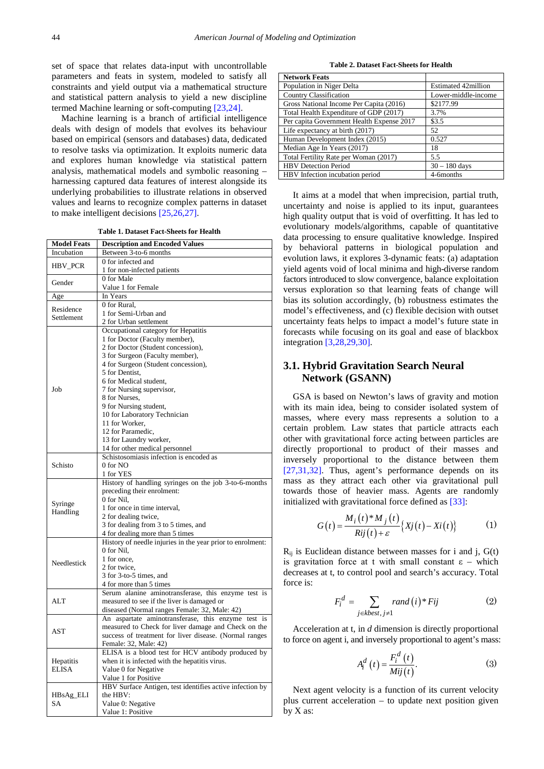set of space that relates data-input with uncontrollable parameters and feats in system, modeled to satisfy all constraints and yield output via a mathematical structure and statistical pattern analysis to yield a new discipline termed Machine learning or soft-computing [\[23,24\].](#page-6-16)

Machine learning is a branch of artificial intelligence deals with design of models that evolves its behaviour based on empirical (sensors and databases) data, dedicated to resolve tasks via optimization. It exploits numeric data and explores human knowledge via statistical pattern analysis, mathematical models and symbolic reasoning – harnessing captured data features of interest alongside its underlying probabilities to illustrate relations in observed values and learns to recognize complex patterns in dataset to make intelligent decisions [\[25,26,27\].](#page-6-17)

**Table 1. Dataset Fact-Sheets for Health**

| <b>Model Feats</b> | <b>Description and Encoded Values</b>                                                         |  |
|--------------------|-----------------------------------------------------------------------------------------------|--|
| Incubation         | Between 3-to-6 months                                                                         |  |
|                    | 0 for infected and                                                                            |  |
| HBV_PCR            | 1 for non-infected patients                                                                   |  |
| Gender             | 0 for Male                                                                                    |  |
|                    | Value 1 for Female                                                                            |  |
| Age                | In Years                                                                                      |  |
| Residence          | 0 for Rural.                                                                                  |  |
| Settlement         | 1 for Semi-Urban and                                                                          |  |
|                    | 2 for Urban settlement                                                                        |  |
|                    | Occupational category for Hepatitis                                                           |  |
|                    | 1 for Doctor (Faculty member),                                                                |  |
|                    | 2 for Doctor (Student concession),                                                            |  |
|                    | 3 for Surgeon (Faculty member),                                                               |  |
|                    | 4 for Surgeon (Student concession),                                                           |  |
|                    | 5 for Dentist,                                                                                |  |
|                    | 6 for Medical student,                                                                        |  |
| Job                | 7 for Nursing supervisor,<br>8 for Nurses,                                                    |  |
|                    | 9 for Nursing student,                                                                        |  |
|                    | 10 for Laboratory Technician                                                                  |  |
|                    | 11 for Worker,                                                                                |  |
|                    | 12 for Paramedic,                                                                             |  |
|                    | 13 for Laundry worker,                                                                        |  |
|                    | 14 for other medical personnel                                                                |  |
|                    | Schistosomiasis infection is encoded as                                                       |  |
| Schisto            | 0 for NO                                                                                      |  |
|                    | 1 for YES                                                                                     |  |
|                    | History of handling syringes on the job 3-to-6-months                                         |  |
|                    | preceding their enrolment:                                                                    |  |
| Syringe            | 0 for Nil.                                                                                    |  |
| Handling           | 1 for once in time interval,                                                                  |  |
|                    | 2 for dealing twice,                                                                          |  |
| Needlestick        | 3 for dealing from 3 to 5 times, and                                                          |  |
|                    | 4 for dealing more than 5 times<br>History of needle injuries in the year prior to enrolment: |  |
|                    | 0 for Nil.                                                                                    |  |
|                    | 1 for once,                                                                                   |  |
|                    | 2 for twice,                                                                                  |  |
|                    | 3 for 3-to-5 times, and                                                                       |  |
|                    | 4 for more than 5 times                                                                       |  |
| ALT                | Serum alanine aminotransferase, this enzyme test is                                           |  |
|                    | measured to see if the liver is damaged or                                                    |  |
|                    | diseased (Normal ranges Female: 32, Male: 42)                                                 |  |
| <b>AST</b>         | An aspartate aminotransferase, this enzyme test is                                            |  |
|                    | measured to Check for liver damage and Check on the                                           |  |
|                    | success of treatment for liver disease. (Normal ranges                                        |  |
|                    | Female: 32, Male: 42)                                                                         |  |
| Hepatitis<br>ELISA | ELISA is a blood test for HCV antibody produced by                                            |  |
|                    | when it is infected with the hepatitis virus.                                                 |  |
|                    | Value 0 for Negative                                                                          |  |
|                    | Value 1 for Positive                                                                          |  |
| HBsAg_ELI<br>SA    | HBV Surface Antigen, test identifies active infection by                                      |  |
|                    | the HBV:<br>Value 0: Negative                                                                 |  |
|                    | Value 1: Positive                                                                             |  |
|                    |                                                                                               |  |

**Table 2. Dataset Fact-Sheets for Health**

| <b>Network Feats</b>                      |                            |
|-------------------------------------------|----------------------------|
| Population in Niger Delta                 | <b>Estimated 42million</b> |
| <b>Country Classification</b>             | Lower-middle-income        |
| Gross National Income Per Capita (2016)   | \$2177.99                  |
| Total Health Expenditure of GDP (2017)    | 3.7%                       |
| Per capita Government Health Expense 2017 | \$3.5                      |
| Life expectancy at birth (2017)           | 52                         |
| Human Development Index (2015)            | 0.527                      |
| Median Age In Years (2017)                | 18                         |
| Total Fertility Rate per Woman (2017)     | 5.5                        |
| <b>HBV</b> Detection Period               | $30 - 180$ days            |
| HBV Infection incubation period           | 4-6months                  |

It aims at a model that when imprecision, partial truth, uncertainty and noise is applied to its input, guarantees high quality output that is void of overfitting. It has led to evolutionary models/algorithms, capable of quantitative data processing to ensure qualitative knowledge. Inspired by behavioral patterns in biological population and evolution laws, it explores 3-dynamic feats: (a) adaptation yield agents void of local minima and high-diverse random factors introduced to slow convergence, balance exploitation versus exploration so that learning feats of change will bias its solution accordingly, (b) robustness estimates the model's effectiveness, and (c) flexible decision with outset uncertainty feats helps to impact a model's future state in forecasts while focusing on its goal and ease of blackbox integration [\[3,28,29,30\].](#page-6-18)

## **3.1. Hybrid Gravitation Search Neural Network (GSANN)**

GSA is based on Newton's laws of gravity and motion with its main idea, being to consider isolated system of masses, where every mass represents a solution to a certain problem. Law states that particle attracts each other with gravitational force acting between particles are directly proportional to product of their masses and inversely proportional to the distance between them [\[27,31,32\].](#page-6-19) Thus, agent's performance depends on its mass as they attract each other via gravitational pull towards those of heavier mass. Agents are randomly initialized with gravitational force defined as [\[33\]:](#page-6-20)

$$
G(t) = \frac{M_i(t)^* M_j(t)}{Rij(t) + \varepsilon} \{ Xj(t) - Xi(t) \}
$$
 (1)

 $R_{ii}$  is Euclidean distance between masses for i and j,  $G(t)$ is gravitation force at t with small constant  $\varepsilon$  – which decreases at t, to control pool and search's accuracy. Total force is:

$$
F_i^d = \sum_{j \in kbest, j \neq 1} rand(i) * Fig \tag{2}
$$

Acceleration at t, in *d* dimension is directly proportional to force on agent i, and inversely proportional to agent's mass:

$$
A_i^d(t) = \frac{F_i^d(t)}{Mij(t)}.
$$
 (3)

Next agent velocity is a function of its current velocity plus current acceleration – to update next position given by X as: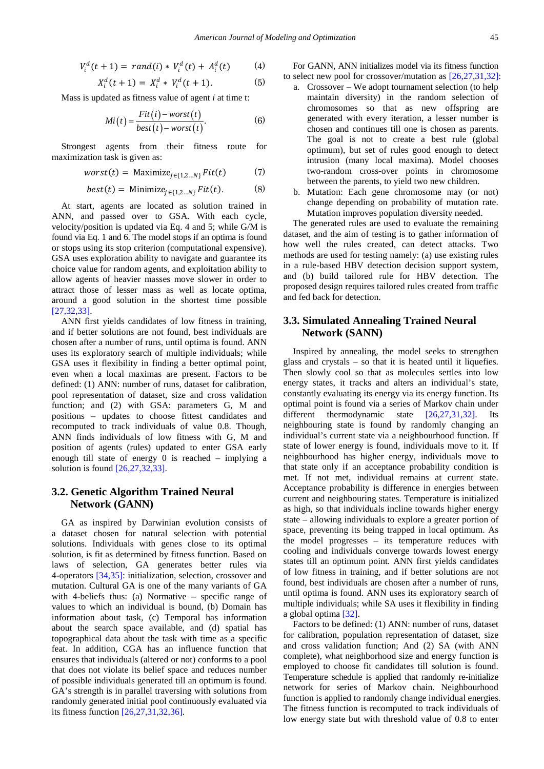$$
V_i^d(t+1) = rand(i) * V_i^d(t) + A_i^d(t) \qquad (4)
$$

$$
X_i^d(t+1) = X_i^d * V_i^d(t+1).
$$
 (5)

Mass is updated as fitness value of agent *i* at time t:

$$
Mi(t) = \frac{Fit(i) - worst(t)}{best(t) - worst(t)}.
$$
 (6)

Strongest agents from their fitness route for maximization task is given as:

$$
worst(t) = \text{Maximize}_{j \in \{1, 2 \dots N\}} Fit(t) \tag{7}
$$

$$
best(t) = \text{Minimize}_{j \in \{1, 2 \dots N\}} Fit(t). \tag{8}
$$

At start, agents are located as solution trained in ANN, and passed over to GSA. With each cycle, velocity/position is updated via Eq. 4 and 5; while G/M is found via Eq. 1 and 6. The model stops if an optima is found or stops using its stop criterion (computational expensive). GSA uses exploration ability to navigate and guarantee its choice value for random agents, and exploitation ability to allow agents of heavier masses move slower in order to attract those of lesser mass as well as locate optima, around a good solution in the shortest time possible [\[27,32,33\].](#page-6-19) 

ANN first yields candidates of low fitness in training, and if better solutions are not found, best individuals are chosen after a number of runs, until optima is found. ANN uses its exploratory search of multiple individuals; while GSA uses it flexibility in finding a better optimal point, even when a local maximas are present. Factors to be defined: (1) ANN: number of runs, dataset for calibration, pool representation of dataset, size and cross validation function; and (2) with GSA: parameters G, M and positions – updates to choose fittest candidates and recomputed to track individuals of value 0.8. Though, ANN finds individuals of low fitness with G, M and position of agents (rules) updated to enter GSA early enough till state of energy 0 is reached – implying a solution is found [\[26,27,32,33\].](#page-6-21)

## **3.2. Genetic Algorithm Trained Neural Network (GANN)**

GA as inspired by Darwinian evolution consists of a dataset chosen for natural selection with potential solutions. Individuals with genes close to its optimal solution, is fit as determined by fitness function. Based on laws of selection, GA generates better rules via 4-operators [\[34,35\]:](#page-6-22) initialization, selection, crossover and mutation. Cultural GA is one of the many variants of GA with 4-beliefs thus: (a) Normative – specific range of values to which an individual is bound, (b) Domain has information about task, (c) Temporal has information about the search space available, and (d) spatial has topographical data about the task with time as a specific feat. In addition, CGA has an influence function that ensures that individuals (altered or not) conforms to a pool that does not violate its belief space and reduces number of possible individuals generated till an optimum is found. GA's strength is in parallel traversing with solutions from randomly generated initial pool continuously evaluated via its fitness function [\[26,27,31,32,36\].](#page-6-21)

For GANN, ANN initializes model via its fitness function to select new pool for crossover/mutation as [\[26,27,31,32\]:](#page-6-21)

- a. Crossover We adopt tournament selection (to help maintain diversity) in the random selection of chromosomes so that as new offspring are generated with every iteration, a lesser number is chosen and continues till one is chosen as parents. The goal is not to create a best rule (global optimum), but set of rules good enough to detect intrusion (many local maxima). Model chooses two-random cross-over points in chromosome between the parents, to yield two new children.
- b. Mutation: Each gene chromosome may (or not) change depending on probability of mutation rate. Mutation improves population diversity needed.

The generated rules are used to evaluate the remaining dataset, and the aim of testing is to gather information of how well the rules created, can detect attacks. Two methods are used for testing namely: (a) use existing rules in a rule-based HBV detection decision support system, and (b) build tailored rule for HBV detection. The proposed design requires tailored rules created from traffic and fed back for detection.

## **3.3. Simulated Annealing Trained Neural Network (SANN)**

Inspired by annealing, the model seeks to strengthen glass and crystals – so that it is heated until it liquefies. Then slowly cool so that as molecules settles into low energy states, it tracks and alters an individual's state, constantly evaluating its energy via its energy function. Its optimal point is found via a series of Markov chain under different thermodynamic state [\[26,27,31,32\].](#page-6-21) Its neighbouring state is found by randomly changing an individual's current state via a neighbourhood function. If state of lower energy is found, individuals move to it. If neighbourhood has higher energy, individuals move to that state only if an acceptance probability condition is met. If not met, individual remains at current state. Acceptance probability is difference in energies between current and neighbouring states. Temperature is initialized as high, so that individuals incline towards higher energy state – allowing individuals to explore a greater portion of space, preventing its being trapped in local optimum. As the model progresses – its temperature reduces with cooling and individuals converge towards lowest energy states till an optimum point. ANN first yields candidates of low fitness in training, and if better solutions are not found, best individuals are chosen after a number of runs, until optima is found. ANN uses its exploratory search of multiple individuals; while SA uses it flexibility in finding a global optima [\[32\].](#page-6-23)

Factors to be defined: (1) ANN: number of runs, dataset for calibration, population representation of dataset, size and cross validation function; And (2) SA (with ANN complete), what neighborhood size and energy function is employed to choose fit candidates till solution is found. Temperature schedule is applied that randomly re-initialize network for series of Markov chain. Neighbourhood function is applied to randomly change individual energies. The fitness function is recomputed to track individuals of low energy state but with threshold value of 0.8 to enter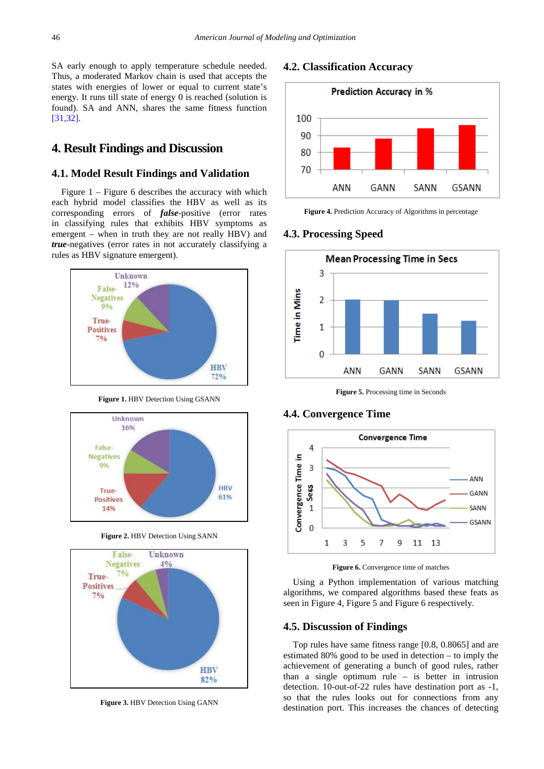SA early enough to apply temperature schedule needed. Thus, a moderated Markov chain is used that accepts the states with energies of lower or equal to current state's energy. It runs till state of energy 0 is reached (solution is found). SA and ANN, shares the same fitness function [\[31,32\].](#page-6-24)

# **4. Result Findings and Discussion**

## **4.1. Model Result Findings and Validation**

Figure 1 – Figure 6 describes the accuracy with which each hybrid model classifies the HBV as well as its corresponding errors of *false*-positive (error rates in classifying rules that exhibits HBV symptoms as emergent – when in truth they are not really HBV) and *true*-negatives (error rates in not accurately classifying a rules as HBV signature emergent).



**Figure 1.** HBV Detection Using GSANN



**Figure 2.** HBV Detection Using SANN



**Figure 3.** HBV Detection Using GANN

## **4.2. Classification Accuracy**



**Figure 4.** Prediction Accuracy of Algorithms in percentage

## **4.3. Processing Speed**



**Figure 5.** Processing time in Seconds

### **4.4. Convergence Time**



Figure 6. Convergence time of matches

Using a Python implementation of various matching algorithms, we compared algorithms based these feats as seen in Figure 4, Figure 5 and Figure 6 respectively.

### **4.5. Discussion of Findings**

Top rules have same fitness range [0.8, 0.8065] and are estimated 80% good to be used in detection – to imply the achievement of generating a bunch of good rules, rather than a single optimum rule – is better in intrusion detection. 10-out-of-22 rules have destination port as -1, so that the rules looks out for connections from any destination port. This increases the chances of detecting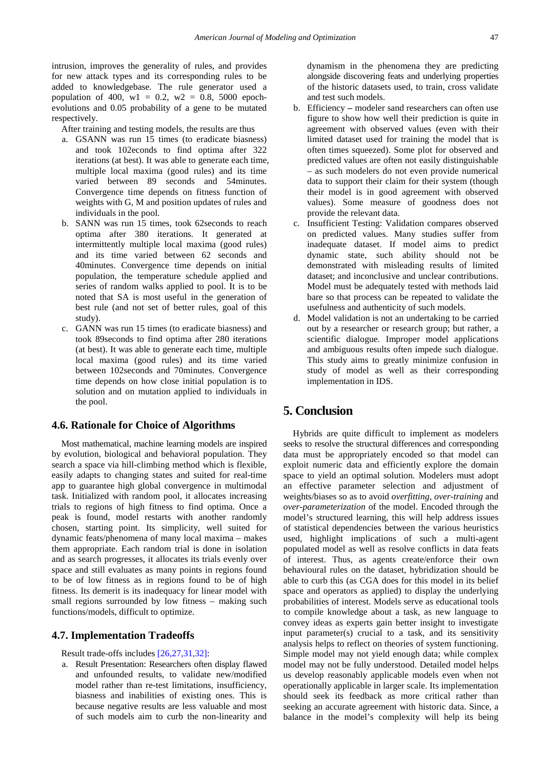intrusion, improves the generality of rules, and provides for new attack types and its corresponding rules to be added to knowledgebase. The rule generator used a population of 400,  $w1 = 0.2$ ,  $w2 = 0.8$ , 5000 epochevolutions and 0.05 probability of a gene to be mutated respectively.

After training and testing models, the results are thus

- a. GSANN was run 15 times (to eradicate biasness) and took 102econds to find optima after 322 iterations (at best). It was able to generate each time, multiple local maxima (good rules) and its time varied between 89 seconds and 54minutes. Convergence time depends on fitness function of weights with G, M and position updates of rules and individuals in the pool.
- b. SANN was run 15 times, took 62seconds to reach optima after 380 iterations. It generated at intermittently multiple local maxima (good rules) and its time varied between 62 seconds and 40minutes. Convergence time depends on initial population, the temperature schedule applied and series of random walks applied to pool. It is to be noted that SA is most useful in the generation of best rule (and not set of better rules, goal of this study).
- c. GANN was run 15 times (to eradicate biasness) and took 89seconds to find optima after 280 iterations (at best). It was able to generate each time, multiple local maxima (good rules) and its time varied between 102seconds and 70minutes. Convergence time depends on how close initial population is to solution and on mutation applied to individuals in the pool.

### **4.6. Rationale for Choice of Algorithms**

Most mathematical, machine learning models are inspired by evolution, biological and behavioral population. They search a space via hill-climbing method which is flexible, easily adapts to changing states and suited for real-time app to guarantee high global convergence in multimodal task. Initialized with random pool, it allocates increasing trials to regions of high fitness to find optima. Once a peak is found, model restarts with another randomly chosen, starting point. Its simplicity, well suited for dynamic feats/phenomena of many local maxima – makes them appropriate. Each random trial is done in isolation and as search progresses, it allocates its trials evenly over space and still evaluates as many points in regions found to be of low fitness as in regions found to be of high fitness. Its demerit is its inadequacy for linear model with small regions surrounded by low fitness – making such functions/models, difficult to optimize.

#### **4.7. Implementation Tradeoffs**

Result trade-offs includes [\[26,27,31,32\]:](#page-6-21)

a. Result Presentation: Researchers often display flawed and unfounded results, to validate new/modified model rather than re-test limitations, insufficiency, biasness and inabilities of existing ones. This is because negative results are less valuable and most of such models aim to curb the non-linearity and

dynamism in the phenomena they are predicting alongside discovering feats and underlying properties of the historic datasets used, to train, cross validate and test such models.

- b. Efficiency **–** modeler sand researchers can often use figure to show how well their prediction is quite in agreement with observed values (even with their limited dataset used for training the model that is often times squeezed). Some plot for observed and predicted values are often not easily distinguishable – as such modelers do not even provide numerical data to support their claim for their system (though their model is in good agreement with observed values). Some measure of goodness does not provide the relevant data.
- c. Insufficient Testing: Validation compares observed on predicted values. Many studies suffer from inadequate dataset. If model aims to predict dynamic state, such ability should not be demonstrated with misleading results of limited dataset; and inconclusive and unclear contributions. Model must be adequately tested with methods laid bare so that process can be repeated to validate the usefulness and authenticity of such models.
- d. Model validation is not an undertaking to be carried out by a researcher or research group; but rather, a scientific dialogue. Improper model applications and ambiguous results often impede such dialogue. This study aims to greatly minimize confusion in study of model as well as their corresponding implementation in IDS.

# **5. Conclusion**

Hybrids are quite difficult to implement as modelers seeks to resolve the structural differences and corresponding data must be appropriately encoded so that model can exploit numeric data and efficiently explore the domain space to yield an optimal solution. Modelers must adopt an effective parameter selection and adjustment of weights/biases so as to avoid *overfitting*, *over-training* and *over-parameterization* of the model. Encoded through the model's structured learning, this will help address issues of statistical dependencies between the various heuristics used, highlight implications of such a multi-agent populated model as well as resolve conflicts in data feats of interest. Thus, as agents create/enforce their own behavioural rules on the dataset, hybridization should be able to curb this (as CGA does for this model in its belief space and operators as applied) to display the underlying probabilities of interest. Models serve as educational tools to compile knowledge about a task, as new language to convey ideas as experts gain better insight to investigate input parameter(s) crucial to a task, and its sensitivity analysis helps to reflect on theories of system functioning. Simple model may not yield enough data; while complex model may not be fully understood. Detailed model helps us develop reasonably applicable models even when not operationally applicable in larger scale. Its implementation should seek its feedback as more critical rather than seeking an accurate agreement with historic data. Since, a balance in the model's complexity will help its being